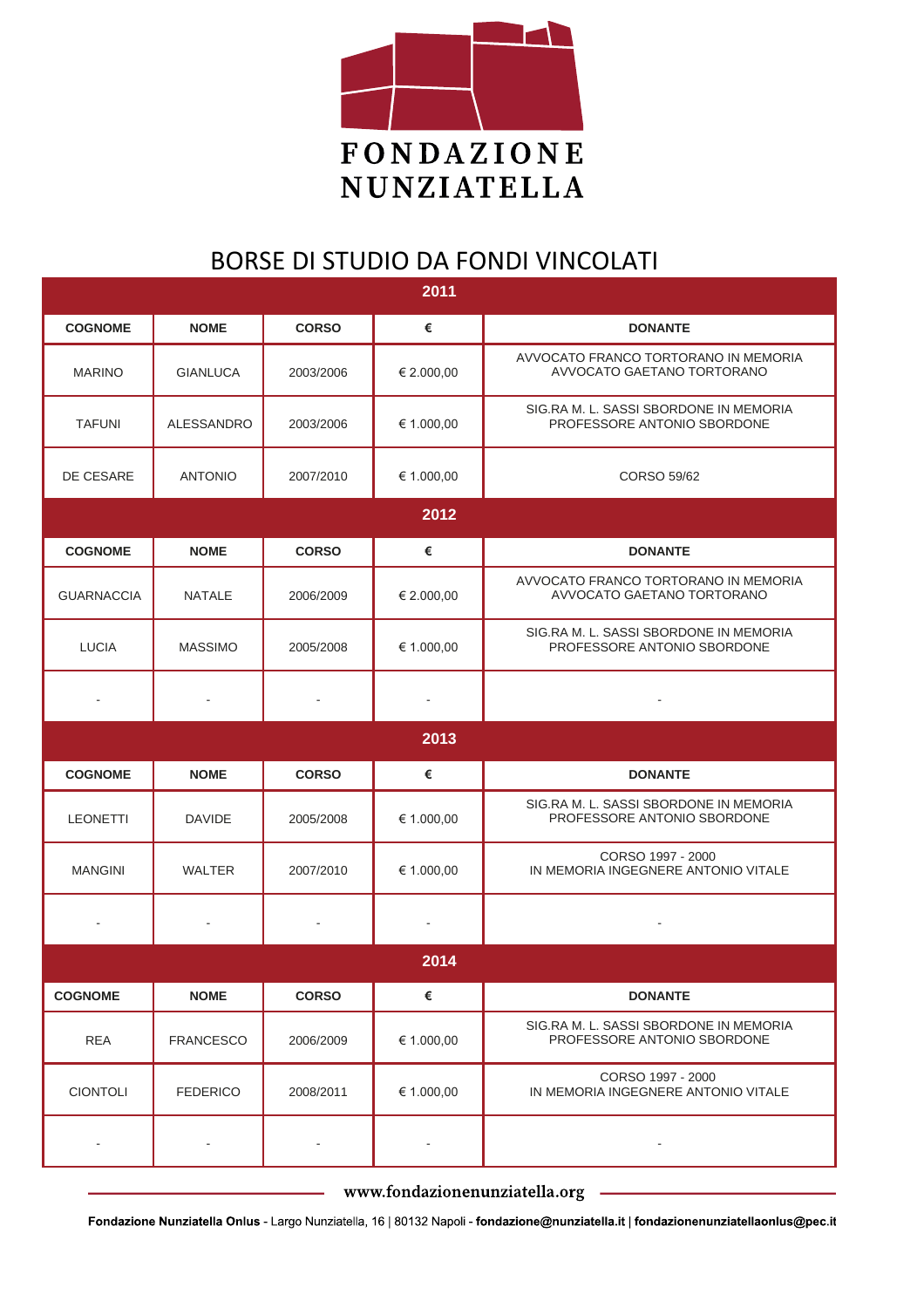

## BORSE DI STUDIO DA FONDI VINCOLATI

| 2011                     |                  |                          |                          |                                                                       |  |  |  |
|--------------------------|------------------|--------------------------|--------------------------|-----------------------------------------------------------------------|--|--|--|
| <b>COGNOME</b>           | <b>NOME</b>      | <b>CORSO</b>             | €                        | <b>DONANTE</b>                                                        |  |  |  |
| <b>MARINO</b>            | <b>GIANLUCA</b>  | 2003/2006                | € 2.000,00               | AVVOCATO FRANCO TORTORANO IN MEMORIA<br>AVVOCATO GAETANO TORTORANO    |  |  |  |
| <b>TAFUNI</b>            | ALESSANDRO       | 2003/2006                | € 1.000,00               | SIG.RA M. L. SASSI SBORDONE IN MEMORIA<br>PROFESSORE ANTONIO SBORDONE |  |  |  |
| DE CESARE                | <b>ANTONIO</b>   | 2007/2010                | € 1.000,00               | CORSO 59/62                                                           |  |  |  |
|                          | 2012             |                          |                          |                                                                       |  |  |  |
| <b>COGNOME</b>           | <b>NOME</b>      | <b>CORSO</b>             | €                        | <b>DONANTE</b>                                                        |  |  |  |
| <b>GUARNACCIA</b>        | <b>NATALE</b>    | 2006/2009                | € 2.000,00               | AVVOCATO FRANCO TORTORANO IN MEMORIA<br>AVVOCATO GAETANO TORTORANO    |  |  |  |
| <b>LUCIA</b>             | <b>MASSIMO</b>   | 2005/2008                | € 1.000,00               | SIG.RA M. L. SASSI SBORDONE IN MEMORIA<br>PROFESSORE ANTONIO SBORDONE |  |  |  |
|                          |                  |                          |                          |                                                                       |  |  |  |
|                          |                  |                          | 2013                     |                                                                       |  |  |  |
| <b>COGNOME</b>           | <b>NOME</b>      | <b>CORSO</b>             | €                        | <b>DONANTE</b>                                                        |  |  |  |
| <b>LEONETTI</b>          | <b>DAVIDE</b>    | 2005/2008                | € 1.000,00               | SIG.RA M. L. SASSI SBORDONE IN MEMORIA<br>PROFESSORE ANTONIO SBORDONE |  |  |  |
| <b>MANGINI</b>           | <b>WALTER</b>    | 2007/2010                | € 1.000,00               | CORSO 1997 - 2000<br>IN MEMORIA INGEGNERE ANTONIO VITALE              |  |  |  |
| $\blacksquare$           |                  | ÷,                       | $\overline{\phantom{a}}$ | $\blacksquare$                                                        |  |  |  |
| 2014                     |                  |                          |                          |                                                                       |  |  |  |
| <b>COGNOME</b>           | <b>NOME</b>      | <b>CORSO</b>             | €                        | <b>DONANTE</b>                                                        |  |  |  |
| <b>REA</b>               | <b>FRANCESCO</b> | 2006/2009                | € 1.000,00               | SIG.RA M. L. SASSI SBORDONE IN MEMORIA<br>PROFESSORE ANTONIO SBORDONE |  |  |  |
| <b>CIONTOLI</b>          | <b>FEDERICO</b>  | 2008/2011                | € 1.000,00               | CORSO 1997 - 2000<br>IN MEMORIA INGEGNERE ANTONIO VITALE              |  |  |  |
| $\overline{\phantom{a}}$ |                  | $\overline{\phantom{a}}$ | $\overline{\phantom{a}}$ | $\blacksquare$                                                        |  |  |  |

www.fondazionenunziatella.org

Fondazione Nunziatella Onlus - Largo Nunziatella, 16 | 80132 Napoli - fondazione@nunziatella.it | fondazionenunziatellaonlus@pec.it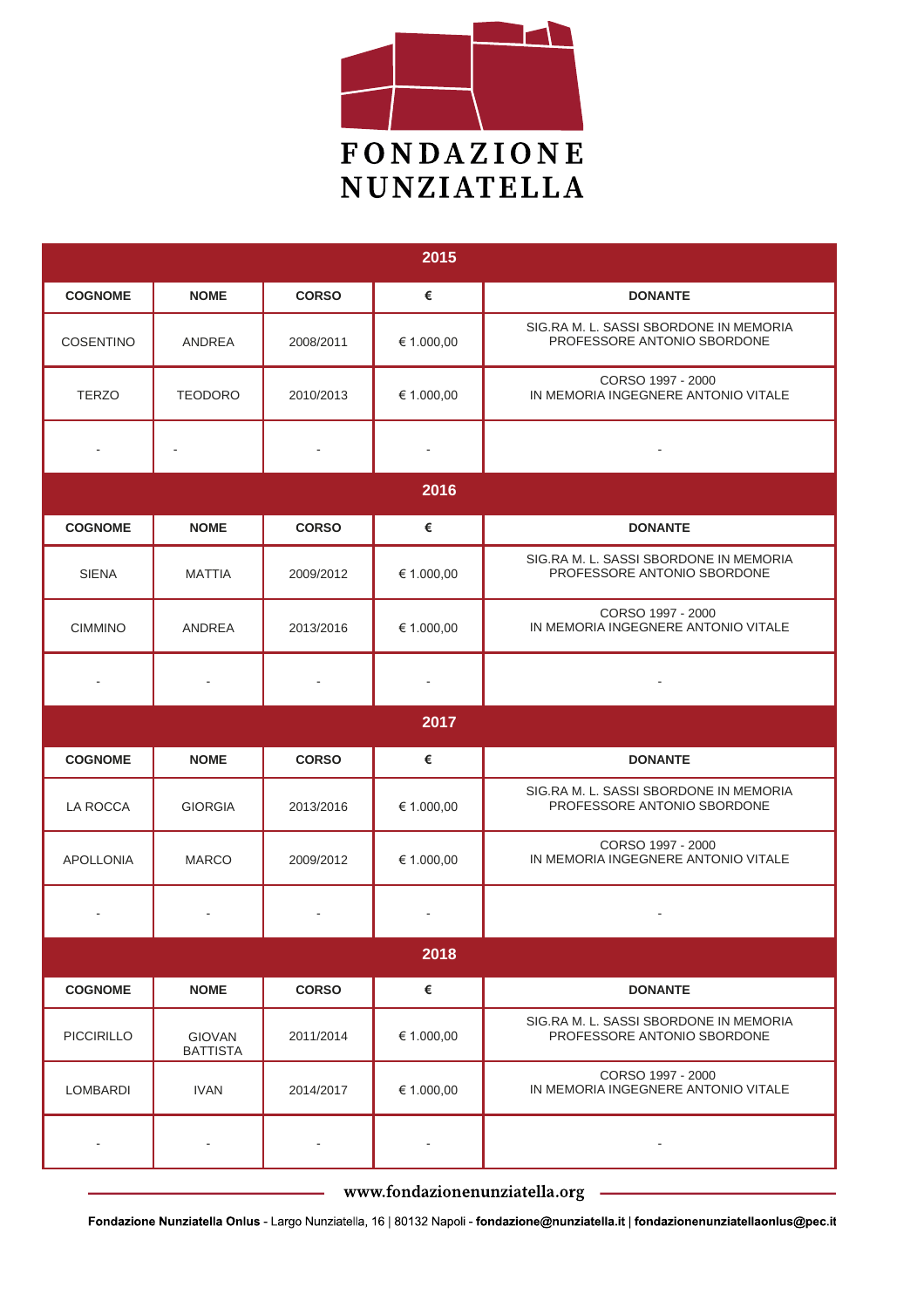

| 2015              |                                  |              |            |                                                                       |  |  |  |  |
|-------------------|----------------------------------|--------------|------------|-----------------------------------------------------------------------|--|--|--|--|
| <b>COGNOME</b>    | <b>NOME</b>                      | <b>CORSO</b> | €          | <b>DONANTE</b>                                                        |  |  |  |  |
| <b>COSENTINO</b>  | ANDREA                           | 2008/2011    | € 1.000,00 | SIG.RA M. L. SASSI SBORDONE IN MEMORIA<br>PROFESSORE ANTONIO SBORDONE |  |  |  |  |
| <b>TERZO</b>      | <b>TEODORO</b>                   | 2010/2013    | € 1.000,00 | CORSO 1997 - 2000<br>IN MEMORIA INGEGNERE ANTONIO VITALE              |  |  |  |  |
|                   |                                  |              |            |                                                                       |  |  |  |  |
| 2016              |                                  |              |            |                                                                       |  |  |  |  |
| <b>COGNOME</b>    | <b>NOME</b>                      | <b>CORSO</b> | €          | <b>DONANTE</b>                                                        |  |  |  |  |
| <b>SIENA</b>      | <b>MATTIA</b>                    | 2009/2012    | € 1.000,00 | SIG.RA M. L. SASSI SBORDONE IN MEMORIA<br>PROFESSORE ANTONIO SBORDONE |  |  |  |  |
| <b>CIMMINO</b>    | <b>ANDREA</b>                    | 2013/2016    | € 1.000,00 | CORSO 1997 - 2000<br>IN MEMORIA INGEGNERE ANTONIO VITALE              |  |  |  |  |
|                   |                                  |              |            |                                                                       |  |  |  |  |
|                   | 2017                             |              |            |                                                                       |  |  |  |  |
| <b>COGNOME</b>    | <b>NOME</b>                      | <b>CORSO</b> | €          | <b>DONANTE</b>                                                        |  |  |  |  |
| LA ROCCA          | <b>GIORGIA</b>                   | 2013/2016    | € 1.000,00 | SIG.RA M. L. SASSI SBORDONE IN MEMORIA<br>PROFESSORE ANTONIO SBORDONE |  |  |  |  |
| <b>APOLLONIA</b>  | <b>MARCO</b>                     | 2009/2012    | € 1.000,00 | CORSO 1997 - 2000<br>IN MEMORIA INGEGNERE ANTONIO VITALE              |  |  |  |  |
|                   |                                  |              |            |                                                                       |  |  |  |  |
| 2018              |                                  |              |            |                                                                       |  |  |  |  |
| <b>COGNOME</b>    | <b>NOME</b>                      | <b>CORSO</b> | €          | <b>DONANTE</b>                                                        |  |  |  |  |
| <b>PICCIRILLO</b> | <b>GIOVAN</b><br><b>BATTISTA</b> | 2011/2014    | € 1.000,00 | SIG.RA M. L. SASSI SBORDONE IN MEMORIA<br>PROFESSORE ANTONIO SBORDONE |  |  |  |  |
| <b>LOMBARDI</b>   | <b>IVAN</b>                      | 2014/2017    | € 1.000,00 | CORSO 1997 - 2000<br>IN MEMORIA INGEGNERE ANTONIO VITALE              |  |  |  |  |
|                   |                                  |              |            |                                                                       |  |  |  |  |

www.fondazionenunziatella.org

÷,

Fondazione Nunziatella Onlus - Largo Nunziatella, 16 | 80132 Napoli - fondazione@nunziatella.it | fondazionenunziatellaonlus@pec.it